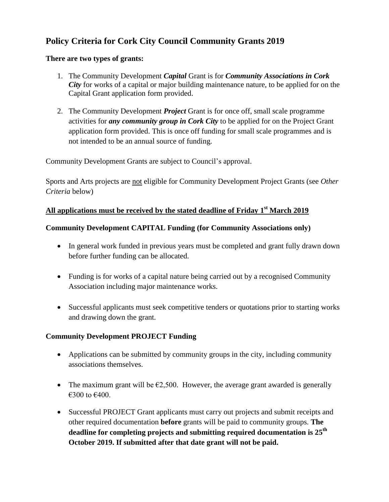# **Policy Criteria for Cork City Council Community Grants 2019**

#### **There are two types of grants:**

- 1. The Community Development *Capital* Grant is for *Community Associations in Cork City* for works of a capital or major building maintenance nature, to be applied for on the Capital Grant application form provided.
- 2. The Community Development *Project* Grant is for once off, small scale programme activities for *any community group in Cork City* to be applied for on the Project Grant application form provided. This is once off funding for small scale programmes and is not intended to be an annual source of funding.

Community Development Grants are subject to Council's approval.

Sports and Arts projects are not eligible for Community Development Project Grants (see *Other Criteria* below)

# **All applications must be received by the stated deadline of Friday 1 st March 2019**

## **Community Development CAPITAL Funding (for Community Associations only)**

- In general work funded in previous years must be completed and grant fully drawn down before further funding can be allocated.
- Funding is for works of a capital nature being carried out by a recognised Community Association including major maintenance works.
- Successful applicants must seek competitive tenders or quotations prior to starting works and drawing down the grant.

#### **Community Development PROJECT Funding**

- Applications can be submitted by community groups in the city, including community associations themselves.
- The maximum grant will be  $\epsilon$ 2,500. However, the average grant awarded is generally €300 to €400.
- Successful PROJECT Grant applicants must carry out projects and submit receipts and other required documentation **before** grants will be paid to community groups. **The deadline for completing projects and submitting required documentation is 25 th October 2019. If submitted after that date grant will not be paid.**